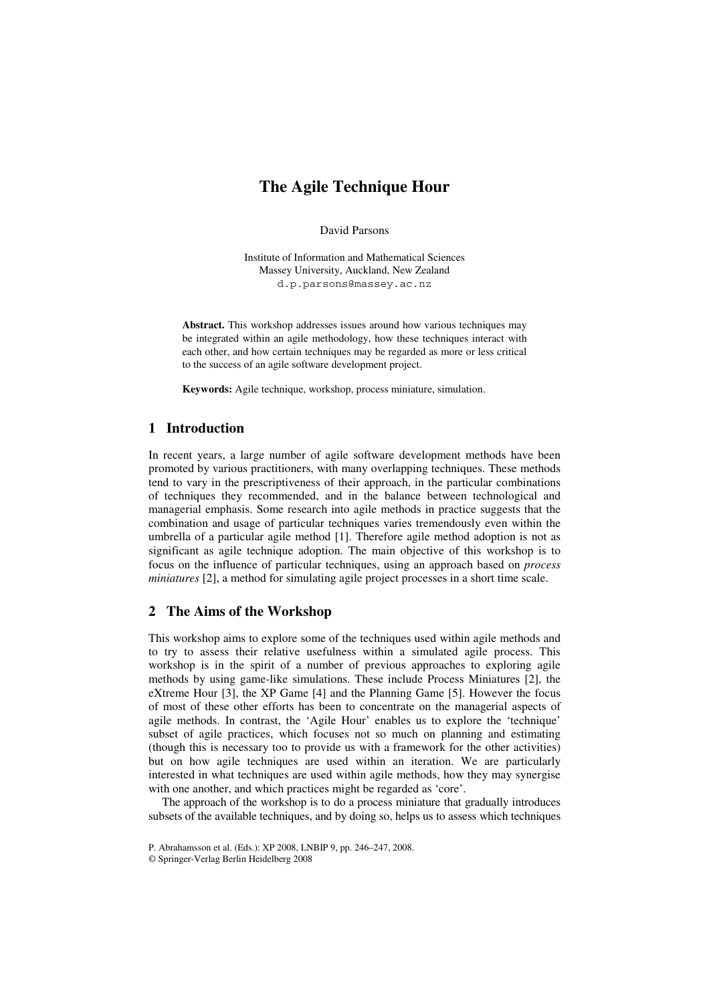# **The Agile Technique Hour**

David Parsons

Institute of Information and Mathematical Sciences Massey University, Auckland, New Zealand d.p.parsons@massey.ac.nz

**Abstract.** This workshop addresses issues around how various techniques may be integrated within an agile methodology, how these techniques interact with each other, and how certain techniques may be regarded as more or less critical to the success of an agile software development project.

**Keywords:** Agile technique, workshop, process miniature, simulation.

## **1 Introduction**

In recent years, a large number of agile software development methods have been promoted by various practitioners, with many overlapping techniques. These methods tend to vary in the prescriptiveness of their approach, in the particular combinations of techniques they recommended, and in the balance between technological and managerial emphasis. Some research into agile methods in practice suggests that the combination and usage of particular techniques varies tremendously even within the umbrella of a particular agile method [1]. Therefore agile method adoption is not as significant as agile technique adoption. The main objective of this workshop is to focus on the influence of particular techniques, using an approach based on *process miniatures* [2], a method for simulating agile project processes in a short time scale.

#### **2 The Aims of the Workshop**

This workshop aims to explore some of the techniques used within agile methods and to try to assess their relative usefulness within a simulated agile process. This workshop is in the spirit of a number of previous approaches to exploring agile methods by using game-like simulations. These include Process Miniatures [2], the eXtreme Hour [3], the XP Game [4] and the Planning Game [5]. However the focus of most of these other efforts has been to concentrate on the managerial aspects of agile methods. In contrast, the 'Agile Hour' enables us to explore the 'technique' subset of agile practices, which focuses not so much on planning and estimating (though this is necessary too to provide us with a framework for the other activities) but on how agile techniques are used within an iteration. We are particularly interested in what techniques are used within agile methods, how they may synergise with one another, and which practices might be regarded as 'core'.

The approach of the workshop is to do a process miniature that gradually introduces subsets of the available techniques, and by doing so, helps us to assess which techniques

P. Abrahamsson et al. (Eds.): XP 2008, LNBIP 9, pp. 246–247, 2008.

<sup>©</sup> Springer-Verlag Berlin Heidelberg 2008